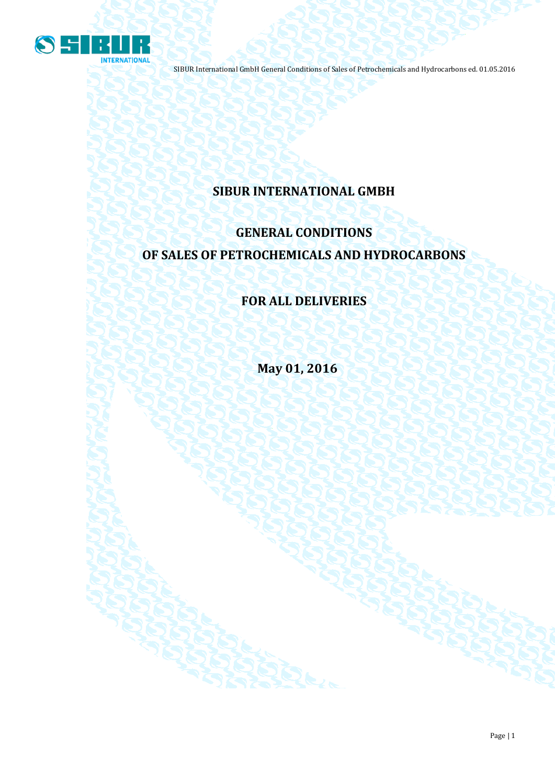

# **SIBUR INTERNATIONAL GMBH**

# **GENERAL CONDITIONS OF SALES OF PETROCHEMICALS AND HYDROCARBONS**

## **FOR ALL DELIVERIES**

**May 01, 2016**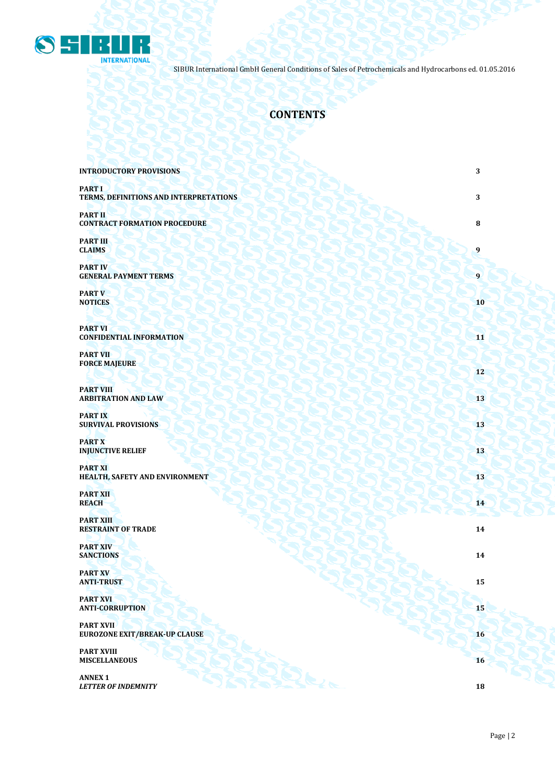

## **CONTENTS**

| <b>INTRODUCTORY PROVISIONS</b>                           | 3            |
|----------------------------------------------------------|--------------|
| <b>PART I</b><br>TERMS, DEFINITIONS AND INTERPRETATIONS  | 3            |
| <b>PART II</b><br><b>CONTRACT FORMATION PROCEDURE</b>    | 8            |
| <b>PART III</b><br><b>CLAIMS</b>                         | 9            |
| <b>PART IV</b><br><b>GENERAL PAYMENT TERMS</b>           | $\mathbf{9}$ |
| <b>PART V</b><br><b>NOTICES</b>                          | 10           |
| <b>PART VI</b><br><b>CONFIDENTIAL INFORMATION</b>        | 11           |
| <b>PART VII</b><br><b>FORCE MAJEURE</b>                  | 12           |
| <b>PART VIII</b><br><b>ARBITRATION AND LAW</b>           | 13           |
| <b>PART IX</b><br><b>SURVIVAL PROVISIONS</b>             | 13           |
| <b>PART X</b><br><b>INJUNCTIVE RELIEF</b>                | 13           |
| <b>PART XI</b><br>HEALTH, SAFETY AND ENVIRONMENT         | 13           |
| <b>PART XII</b><br><b>REACH</b>                          | 14           |
| <b>PART XIII</b><br><b>RESTRAINT OF TRADE</b>            | 14           |
| <b>PART XIV</b><br><b>SANCTIONS</b>                      | 14           |
| <b>PART XV</b><br><b>ANTI-TRUST</b>                      | 15           |
| <b>PART XVI</b><br><b>ANTI-CORRUPTION</b>                | 15           |
| <b>PART XVII</b><br><b>EUROZONE EXIT/BREAK-UP CLAUSE</b> | 16           |
| <b>PART XVIII</b><br><b>MISCELLANEOUS</b>                | 16           |
| <b>ANNEX 1</b><br><b>LETTER OF INDEMNITY</b>             | 18           |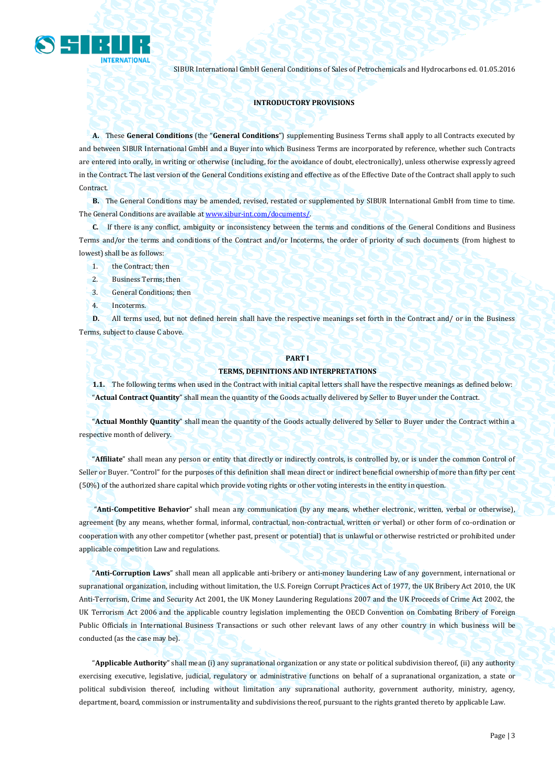

## **INTRODUCTORY PROVISIONS**

**A.** These **General Conditions** (the "**General Conditions**") supplementing Business Terms shall apply to all Contracts executed by and between SIBUR International GmbH and a Buyer into which Business Terms are incorporated by reference, whether such Contracts are entered into orally, in writing or otherwise (including, for the avoidance of doubt, electronically), unless otherwise expressly agreed in the Contract. The last version of the General Conditions existing and effective as of the Effective Date of the Contract shall apply to such Contract.

**B.** The General Conditions may be amended, revised, restated or supplemented by SIBUR International GmbH from time to time. The General Conditions are available a[t www.sibur-int.com/](http://www.sibur-int.com/)documents/.

**C.** If there is any conflict, ambiguity or inconsistency between the terms and conditions of the General Conditions and Business Terms and/or the terms and conditions of the Contract and/or Incoterms, the order of priority of such documents (from highest to lowest) shall be as follows:

- 1. the Contract; then
- 2. Business Terms; then
- 3. General Conditions; then
- 4. Incoterms.

**D.** All terms used, but not defined herein shall have the respective meanings set forth in the Contract and/ or in the Business Terms, subject to clause C above.

#### **PART I**

### **TERMS, DEFINITIONS AND INTERPRETATIONS**

**1.1.** The following terms when used in the Contract with initial capital letters shall have the respective meanings as defined below: "**Actual Contract Quantity**" shall mean the quantity of the Goods actually delivered by Seller to Buyer under the Contract.

"**Actual Monthly Quantity**" shall mean the quantity of the Goods actually delivered by Seller to Buyer under the Contract within a respective month of delivery.

"**Affiliate**" shall mean any person or entity that directly or indirectly controls, is controlled by, or is under the common Control of Seller or Buyer. "Control" for the purposes of this definition shall mean direct or indirect beneficial ownership of more than fifty per cent (50%) of the authorized share capital which provide voting rights or other voting interests in the entity in question.

"**Anti-Competitive Behavior**" shall mean any communication (by any means, whether electronic, written, verbal or otherwise), agreement (by any means, whether formal, informal, contractual, non-contractual, written or verbal) or other form of co-ordination or cooperation with any other competitor (whether past, present or potential) that is unlawful or otherwise restricted or prohibited under applicable competition Law and regulations.

"**Anti-Corruption Laws**" shall mean all applicable anti-bribery or anti-money laundering Law of any government, international or supranational organization, including without limitation, the U.S. Foreign Corrupt Practices Act of 1977, the UK Bribery Act 2010, the UK Anti-Terrorism, Crime and Security Act 2001, the UK Money Laundering Regulations 2007 and the UK Proceeds of Crime Act 2002, the UK Terrorism Act 2006 and the applicable country legislation implementing the OECD Convention on Combating Bribery of Foreign Public Officials in International Business Transactions or such other relevant laws of any other country in which business will be conducted (as the case may be).

"**Applicable Authority**" shall mean (i) any supranational organization or any state or political subdivision thereof, (ii) any authority exercising executive, legislative, judicial, regulatory or administrative functions on behalf of a supranational organization, a state or political subdivision thereof, including without limitation any supranational authority, government authority, ministry, agency, department, board, commission or instrumentality and subdivisions thereof, pursuant to the rights granted thereto by applicable Law.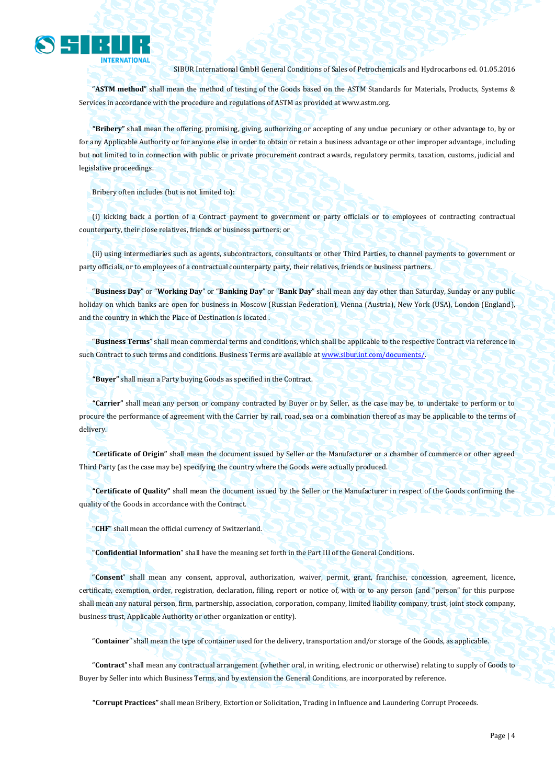

"**ASTM method**" shall mean the method of testing of the Goods based on the ASTM Standards for Materials, Products, Systems & Services in accordance with the procedure and regulations of ASTM as provided a[t www.astm.org.](http://www.astm.org/)

**"Bribery"** shall mean the offering, promising, giving, authorizing or accepting of any undue pecuniary or other advantage to, by or for any Applicable Authority or for anyone else in order to obtain or retain a business advantage or other improper advantage, including but not limited to in connection with public or private procurement contract awards, regulatory permits, taxation, customs, judicial and legislative proceedings.

Bribery often includes (but is not limited to):

(i) kicking back a portion of a Contract payment to government or party officials or to employees of contracting contractual counterparty, their close relatives, friends or business partners; or

(ii) using intermediaries such as agents, subcontractors, consultants or other Third Parties, to channel payments to government or party officials, or to employees of a contractual counterparty party, their relatives, friends or business partners.

"**Business Day**" or "**Working Day**" or "**Banking Day**" or "**Bank Day**" shall mean any day other than Saturday, Sunday or any public holiday on which banks are open for business in Moscow (Russian Federation), Vienna (Austria), New York (USA), London (England), and the country in which the Place of Destination is located .

"**Business Terms**" shall mean commercial terms and conditions, which shall be applicable to the respective Contract via reference in such Contract to such terms and conditions. Business Terms are available a[t www.sibur.int.com/documents/.](http://www.sibur.int.com/documents/)

**"Buyer"** shall mean a Party buying Goods as specified in the Contract.

**"Carrier"** shall mean any person or company contracted by Buyer or by Seller, as the case may be, to undertake to perform or to procure the performance of agreement with the Carrier by rail, road, sea or a combination thereof as may be applicable to the terms of delivery.

**"Certificate of Origin"** shall mean the document issued by Seller or the Manufacturer or a chamber of commerce or other agreed Third Party (as the case may be) specifying the country where the Goods were actually produced.

**"Certificate of Quality"** shall mean the document issued by the Seller or the Manufacturer in respect of the Goods confirming the quality of the Goods in accordance with the Contract.

"**CHF**" shall mean the official currency of Switzerland.

"**Confidential Information**" shall have the meaning set forth in the Part III of the General Conditions.

"**Consent**" shall mean any consent, approval, authorization, waiver, permit, grant, franchise, concession, agreement, licence, certificate, exemption, order, registration, declaration, filing, report or notice of, with or to any person (and "person" for this purpose shall mean any natural person, firm, partnership, association, corporation, company, limited liability company, trust, joint stock company, business trust, Applicable Authority or other organization or entity).

"**Container**" shall mean the type of container used for the delivery, transportation and/or storage of the Goods, as applicable.

"**Contract**" shall mean any contractual arrangement (whether oral, in writing, electronic or otherwise) relating to supply of Goods to Buyer by Seller into which Business Terms, and by extension the General Conditions, are incorporated by reference.

**"Corrupt Practices"** shall mean Bribery, Extortion or Solicitation, Trading in Influence and Laundering Corrupt Proceeds.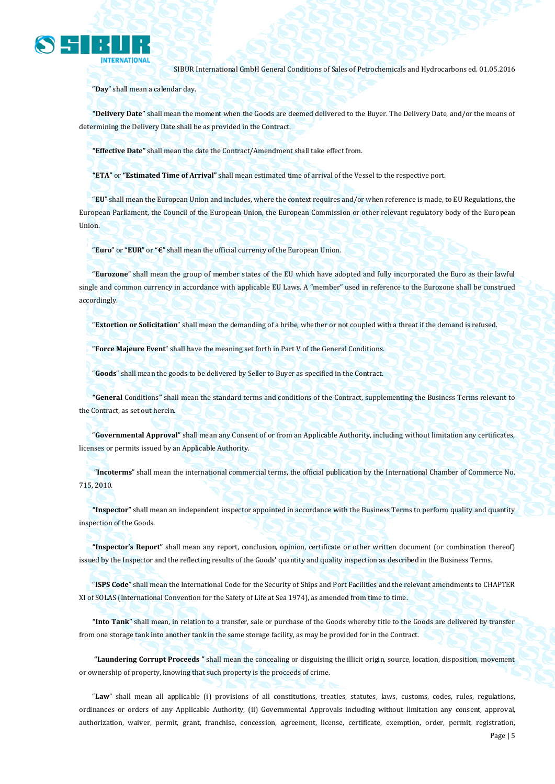

"**Day**" shall mean a calendar day.

**"Delivery Date"** shall mean the moment when the Goods are deemed delivered to the Buyer. The Delivery Date, and/or the means of determining the Delivery Date shall be as provided in the Contract.

**"Effective Date"** shall mean the date the Contract/Amendment shall take effect from.

**"ETA"** or **"Estimated Time of Arrival"** shall mean estimated time of arrival of the Vessel to the respective port.

"**EU**" shall mean the European Union and includes, where the context requires and/or when reference is made, to EU Regulations, the European Parliament, the Council of the European Union, the European Commission or other relevant regulatory body of the European Union.

"**Euro**" or "**EUR**" or "**€**" shall mean the official currency of the European Union.

"**Eurozone**" shall mean the group of member states of the EU which have adopted and fully incorporated the Euro as their lawful single and common currency in accordance with applicable EU Laws. A "member" used in reference to the Eurozone shall be construed accordingly.

"**Extortion or Solicitation**" shall mean the demanding of a bribe, whether or not coupled with a threat if the demand is refused.

"**Force Majeure Event**" shall have the meaning set forth in Part V of the General Conditions.

"**Goods**" shall mean the goods to be delivered by Seller to Buyer as specified in the Contract.

**"General** Conditions**"** shall mean the standard terms and conditions of the Contract, supplementing the Business Terms relevant to the Contract, as set out herein.

"**Governmental Approval**" shall mean any Consent of or from an Applicable Authority, including without limitation any certificates, licenses or permits issued by an Applicable Authority.

"**Incoterms**" shall mean the international commercial terms, the official publication by the International Chamber of Commerce No. 715, 2010.

**"Inspector"** shall mean an independent inspector appointed in accordance with the Business Terms to perform quality and quantity inspection of the Goods.

**"Inspector's Report"** shall mean any report, conclusion, opinion, certificate or other written document (or combination thereof) issued by the Inspector and the reflecting results of the Goods' quantity and quality inspection as described in the Business Terms.

"**ISPS Code**" shall mean the International Code for the Security of Ships and Port Facilities and the relevant amendments to CHAPTER XI of SOLAS (International Convention for the Safety of Life at Sea 1974), as amended from time to time.

**"Into Tank"** shall mean, in relation to a transfer, sale or purchase of the Goods whereby title to the Goods are delivered by transfer from one storage tank into another tank in the same storage facility, as may be provided for in the Contract.

**"Laundering Corrupt Proceeds "** shall mean the concealing or disguising the illicit origin, source, location, disposition, movement or ownership of property, knowing that such property is the proceeds of crime.

"**Law**" shall mean all applicable (i) provisions of all constitutions, treaties, statutes, laws, customs, codes, rules, regulations, ordinances or orders of any Applicable Authority, (ii) Governmental Approvals including without limitation any consent, approval, authorization, waiver, permit, grant, franchise, concession, agreement, license, certificate, exemption, order, permit, registration,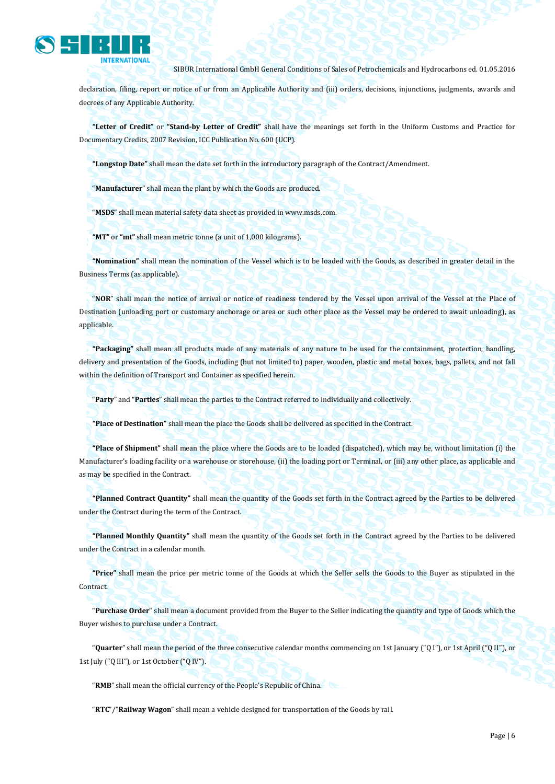

declaration, filing, report or notice of or from an Applicable Authority and (iii) orders, decisions, injunctions, judgments, awards and decrees of any Applicable Authority.

**"Letter of Credit"** or **"Stand-by Letter of Credit"** shall have the meanings set forth in the Uniform Customs and Practice for Documentary Credits, 2007 Revision, ICC Publication No. 600 (UCP).

**"Longstop Date"** shall mean the date set forth in the introductory paragraph of the Contract/Amendment.

"**Manufacturer**" shall mean the plant by which the Goods are produced.

"**MSDS**" shall mean material safety data sheet as provided in www.msds.com.

**"MT"** or **"mt"** shall mean metric tonne (a unit of 1,000 kilograms).

**"Nomination"** shall mean the nomination of the Vessel which is to be loaded with the Goods, as described in greater detail in the Business Terms (as applicable).

"**NOR**" shall mean the notice of arrival or notice of readiness tendered by the Vessel upon arrival of the Vessel at the Place of Destination (unloading port or customary anchorage or area or such other place as the Vessel may be ordered to await unloading), as applicable.

**"Packaging"** shall mean all products made of any materials of any nature to be used for the containment, protection, handling, delivery and presentation of the Goods, including (but not limited to) paper, wooden, plastic and metal boxes, bags, pallets, and not fall within the definition of Transport and Container as specified herein.

"**Party**" and "**Parties**" shall mean the parties to the Contract referred to individually and collectively.

**"Place of Destination"** shall mean the place the Goods shall be delivered as specified in the Contract.

**"Place of Shipment"** shall mean the place where the Goods are to be loaded (dispatched), which may be, without limitation (i) the Manufacturer's loading facility or a warehouse or storehouse, (ii) the loading port or Terminal, or (iii) any other place, as applicable and as may be specified in the Contract.

**"Planned Contract Quantity"** shall mean the quantity of the Goods set forth in the Contract agreed by the Parties to be delivered under the Contract during the term of the Contract.

**"Planned Monthly Quantity"** shall mean the quantity of the Goods set forth in the Contract agreed by the Parties to be delivered under the Contract in a calendar month.

**"Price"** shall mean the price per metric tonne of the Goods at which the Seller sells the Goods to the Buyer as stipulated in the Contract.

"**Purchase Order**" shall mean a document provided from the Buyer to the Seller indicating the quantity and type of Goods which the Buyer wishes to purchase under a Contract.

"**Quarter**" shall mean the period of the three consecutive calendar months commencing on 1st January ("Q I"), or 1st April ("Q II"), or 1st July ("Q III"), or 1st October ("Q IV").

"**RMB**" shall mean the official currency of the People's Republic of China.

"**RTC**"/"**Railway Wagon**" shall mean a vehicle designed for transportation of the Goods by rail.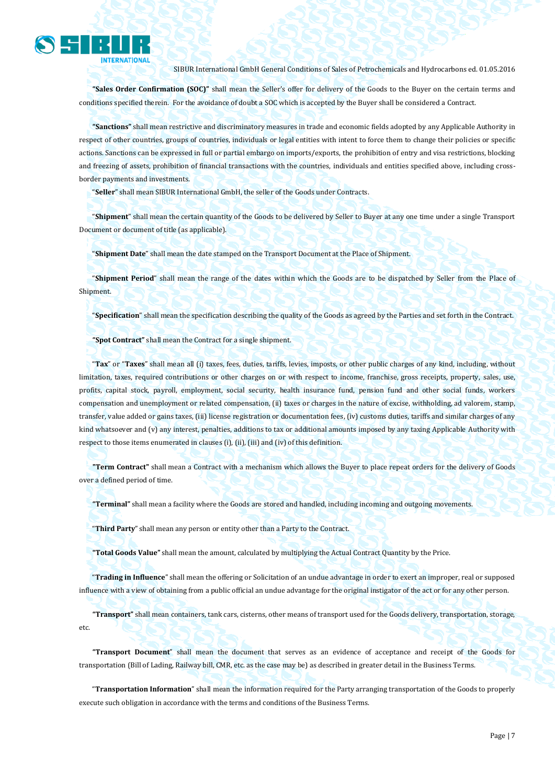

**"Sales Order Confirmation (SOC)"** shall mean the Seller's offer for delivery of the Goods to the Buyer on the certain terms and conditions specified therein. For the avoidance of doubt a SOC which is accepted by the Buyer shall be considered a Contract.

**"Sanctions"** shall mean restrictive and discriminatory measures in trade and economic fields adopted by any Applicable Authority in respect of other countries, groups of countries, individuals or legal entities with intent to force them to change their policies or specific actions. Sanctions can be expressed in full or partial embargo on imports/exports, the prohibition of entry and visa restrictions, blocking and freezing of assets, prohibition of financial transactions with the countries, individuals and entities specified above, including crossborder payments and investments.

"**Seller**" shall mean SIBUR International GmbH, the seller of the Goods under Contracts.

"**Shipment**" shall mean the certain quantity of the Goods to be delivered by Seller to Buyer at any one time under a single Transport Document or document of title (as applicable).

"**Shipment Date**" shall mean the date stamped on the Transport Document at the Place of Shipment.

"**Shipment Period**" shall mean the range of the dates within which the Goods are to be dispatched by Seller from the Place of Shipment.

"**Specification**" shall mean the specification describing the quality of the Goods as agreed by the Parties and set forth in the Contract.

**"Spot Contract"** shall mean the Contract for a single shipment.

"**Tax**" or "**Taxes**" shall mean all (i) taxes, fees, duties, tariffs, levies, imposts, or other public charges of any kind, including, without limitation, taxes, required contributions or other charges on or with respect to income, franchise, gross receipts, property, sales, use, profits, capital stock, payroll, employment, social security, health insurance fund, pension fund and other social funds, workers compensation and unemployment or related compensation, (ii) taxes or charges in the nature of excise, withholding, ad valorem, stamp, transfer, value added or gains taxes, (iii) license registration or documentation fees, (iv) customs duties, tariffs and similar charges of any kind whatsoever and (v) any interest, penalties, additions to tax or additional amounts imposed by any taxing Applicable Authority with respect to those items enumerated in clauses (i), (ii), (iii) and (iv) of this definition.

**"Term Contract"** shall mean a Contract with a mechanism which allows the Buyer to place repeat orders for the delivery of Goods over a defined period of time.

**"Terminal"** shall mean a facility where the Goods are stored and handled, including incoming and outgoing movements.

"**Third Party**" shall mean any person or entity other than a Party to the Contract.

**"Total Goods Value"** shall mean the amount, calculated by multiplying the Actual Contract Quantity by the Price.

"**Trading in Influence**" shall mean the offering or Solicitation of an undue advantage in order to exert an improper, real or supposed influence with a view of obtaining from a public official an undue advantage for the original instigator of the act or for any other person.

**"Transport"** shall mean containers, tank cars, cisterns, other means of transport used for the Goods delivery, transportation, storage, etc.

**"Transport Document**" shall mean the document that serves as an evidence of acceptance and receipt of the Goods for transportation (Bill of Lading, Railway bill, CMR, etc. as the case may be) as described in greater detail in the Business Terms.

"**Transportation Information**" shall mean the information required for the Party arranging transportation of the Goods to properly execute such obligation in accordance with the terms and conditions of the Business Terms.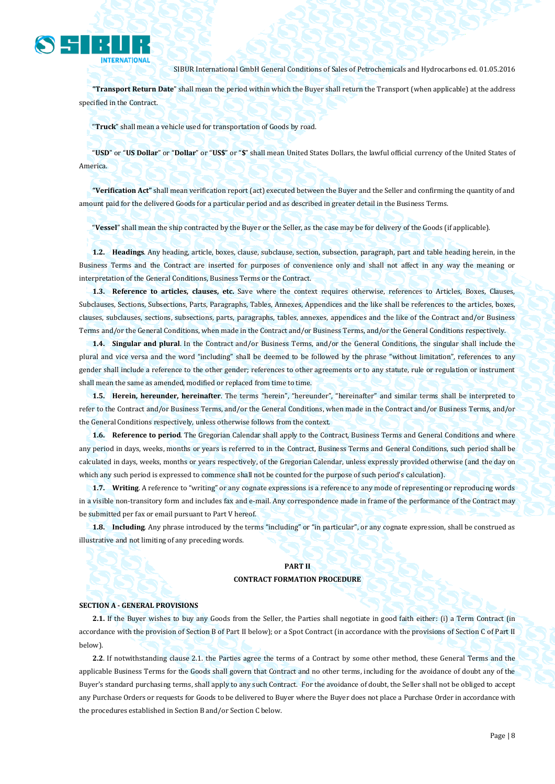

**"Transport Return Date**" shall mean the period within which the Buyer shall return the Transport (when applicable) at the address specified in the Contract.

"**Truck**" shall mean a vehicle used for transportation of Goods by road.

"**USD**" or "**US Dollar**" or "**Dollar**" or "**US\$**" or "**\$**" shall mean United States Dollars, the lawful official currency of the United States of America.

**"Verification Act"** shall mean verification report (act) executed between the Buyer and the Seller and confirming the quantity of and amount paid for the delivered Goods for a particular period and as described in greater detail in the Business Terms.

"**Vessel**" shall mean the ship contracted by the Buyer or the Seller, as the case may be for delivery of the Goods (if applicable).

**1.2. Headings**. Any heading, article, boxes, clause, subclause, section, subsection, paragraph, part and table heading herein, in the Business Terms and the Contract are inserted for purposes of convenience only and shall not affect in any way the meaning or interpretation of the General Conditions, Business Terms or the Contract.

**1.3. Reference to articles, clauses, etc.** Save where the context requires otherwise, references to Articles, Boxes, Clauses, Subclauses, Sections, Subsections, Parts, Paragraphs, Tables, Annexes, Appendices and the like shall be references to the articles, boxes, clauses, subclauses, sections, subsections, parts, paragraphs, tables, annexes, appendices and the like of the Contract and/or Business Terms and/or the General Conditions, when made in the Contract and/or Business Terms, and/or the General Conditions respectively.

**1.4. Singular and plural**. In the Contract and/or Business Terms, and/or the General Conditions, the singular shall include the plural and vice versa and the word "including" shall be deemed to be followed by the phrase "without limitation", references to any gender shall include a reference to the other gender; references to other agreements or to any statute, rule or regulation or instrument shall mean the same as amended, modified or replaced from time to time.

**1.5. Herein, hereunder, hereinafter**. The terms "herein", "hereunder", "hereinafter" and similar terms shall be interpreted to refer to the Contract and/or Business Terms, and/or the General Conditions, when made in the Contract and/or Business Terms, and/or the General Conditions respectively, unless otherwise follows from the context.

**1.6. Reference to period**. The Gregorian Calendar shall apply to the Contract, Business Terms and General Conditions and where any period in days, weeks, months or years is referred to in the Contract, Business Terms and General Conditions, such period shall be calculated in days, weeks, months or years respectively, of the Gregorian Calendar, unless expressly provided otherwise (and the day on which any such period is expressed to commence shall not be counted for the purpose of such period's calculation).

**1.7. Writing**. A reference to "writing" or any cognate expressions is a reference to any mode of representing or reproducing words in a visible non-transitory form and includes fax and e-mail. Any correspondence made in frame of the performance of the Contract may be submitted per fax or email pursuant to Part V hereof.

**1.8. Including**. Any phrase introduced by the terms "including" or "in particular", or any cognate expression, shall be construed as illustrative and not limiting of any preceding words.

### **PART II**

### **CONTRACT FORMATION PROCEDURE**

#### **SECTION A - GENERAL PROVISIONS**

**2.1.** If the Buyer wishes to buy any Goods from the Seller, the Parties shall negotiate in good faith either: (i) a Term Contract (in accordance with the provision of Section B of Part II below); or a Spot Contract (in accordance with the provisions of Section C of Part II below).

**2.2**. If notwithstanding clause 2.1. the Parties agree the terms of a Contract by some other method, these General Terms and the applicable Business Terms for the Goods shall govern that Contract and no other terms, including for the avoidance of doubt any of the Buyer's standard purchasing terms, shall apply to any such Contract. For the avoidance of doubt, the Seller shall not be obliged to accept any Purchase Orders or requests for Goods to be delivered to Buyer where the Buyer does not place a Purchase Order in accordance with the procedures established in Section B and/or Section C below.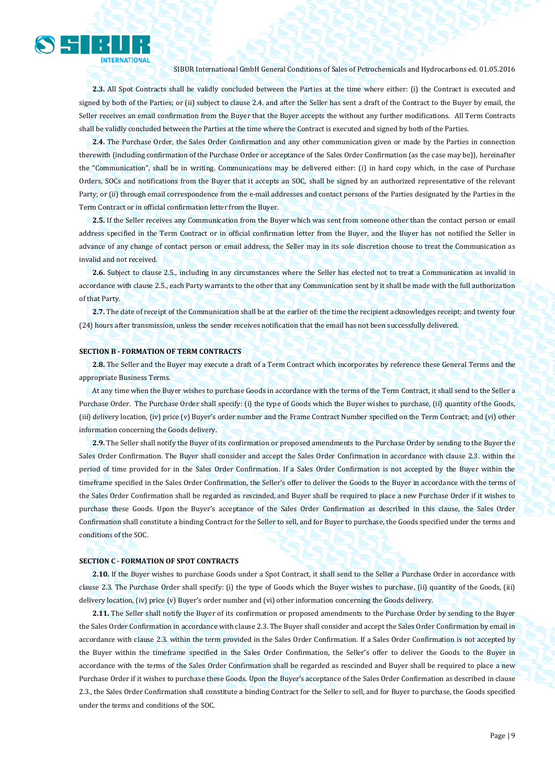

**2.3.** All Spot Contracts shall be validly concluded between the Parties at the time where either: (i) the Contract is executed and signed by both of the Parties; or (ii) subject to clause 2.4, and after the Seller has sent a draft of the Contract to the Buyer by email, the Seller receives an email confirmation from the Buyer that the Buyer accepts the without any further modifications. All Term Contracts shall be validly concluded between the Parties at the time where the Contract is executed and signed by both of the Parties.

**2.4.** The Purchase Order, the Sales Order Confirmation and any other communication given or made by the Parties in connection therewith (including confirmation of the Purchase Order or acceptance of the Sales Order Confirmation (as the case may be)), hereinafter the "Communication", shall be in writing. Communications may be delivered either: (i) in hard copy which, in the case of Purchase Orders, SOCs and notifications from the Buyer that it accepts an SOC, shall be signed by an authorized representative of the relevant Party; or (ii) through email correspondence from the e-mail addresses and contact persons of the Parties designated by the Parties in the Term Contract or in official confirmation letter from the Buyer.

**2.5.** If the Seller receives any Communication from the Buyer which was sent from someone other than the contact person or email address specified in the Term Contract or in official confirmation letter from the Buyer, and the Buyer has not notified the Seller in advance of any change of contact person or email address, the Seller may in its sole discretion choose to treat the Communication as invalid and not received.

**2.6.** Subject to clause 2.5., including in any circumstances where the Seller has elected not to treat a Communication as invalid in accordance with clause 2.5., each Party warrants to the other that any Communication sent by it shall be made with the full authorization of that Party.

**2.7.** The date of receipt of the Communication shall be at the earlier of: the time the recipient acknowledges receipt; and twenty four (24) hours after transmission, unless the sender receives notification that the email has not been successfully delivered.

#### **SECTION B - FORMATION OF TERM CONTRACTS**

**2.8.** The Seller and the Buyer may execute a draft of a Term Contract which incorporates by reference these General Terms and the appropriate Business Terms.

At any time when the Buyer wishes to purchase Goods in accordance with the terms of the Term Contract, it shall send to the Seller a Purchase Order. The Purchase Order shall specify: (i) the type of Goods which the Buyer wishes to purchase, (ii) quantity of the Goods, (iii) delivery location, (iv) price (v) Buyer's order number and the Frame Contract Number specified on the Term Contract; and (vi) other information concerning the Goods delivery.

**2.9.** The Seller shall notify the Buyer of its confirmation or proposed amendments to the Purchase Order by sending to the Buyer the Sales Order Confirmation. The Buyer shall consider and accept the Sales Order Confirmation in accordance with clause 2.3. within the period of time provided for in the Sales Order Confirmation. If a Sales Order Confirmation is not accepted by the Buyer within the timeframe specified in the Sales Order Confirmation, the Seller's offer to deliver the Goods to the Buyer in accordance with the terms of the Sales Order Confirmation shall be regarded as rescinded, and Buyer shall be required to place a new Purchase Order if it wishes to purchase these Goods. Upon the Buyer's acceptance of the Sales Order Confirmation as described in this clause, the Sales Order Confirmation shall constitute a binding Contract for the Seller to sell, and for Buyer to purchase, the Goods specified under the terms and conditions of the SOC.

#### **SECTION C - FORMATION OF SPOT CONTRACTS**

**2.10.** If the Buyer wishes to purchase Goods under a Spot Contract, it shall send to the Seller a Purchase Order in accordance with clause 2.3. The Purchase Order shall specify: (i) the type of Goods which the Buyer wishes to purchase, (ii) quantity of the Goods, (iii) delivery location, (iv) price (v) Buyer's order number and (vi) other information concerning the Goods delivery.

**2.11.** The Seller shall notify the Buyer of its confirmation or proposed amendments to the Purchase Order by sending to the Buyer the Sales Order Confirmation in accordance with clause 2.3. The Buyer shall consider and accept the Sales Order Confirmation by email in accordance with clause 2.3. within the term provided in the Sales Order Confirmation. If a Sales Order Confirmation is not accepted by the Buyer within the timeframe specified in the Sales Order Confirmation, the Seller's offer to deliver the Goods to the Buyer in accordance with the terms of the Sales Order Confirmation shall be regarded as rescinded and Buyer shall be required to place a new Purchase Order if it wishes to purchase these Goods. Upon the Buyer's acceptance of the Sales Order Confirmation as described in clause 2.3., the Sales Order Confirmation shall constitute a binding Contract for the Seller to sell, and for Buyer to purchase, the Goods specified under the terms and conditions of the SOC.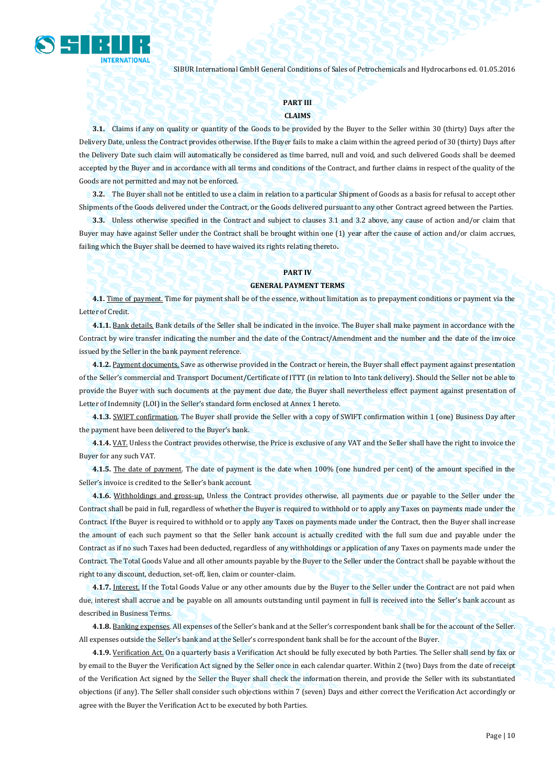

## **PART III**

## **CLAIMS**

**3.1.** Claims if any on quality or quantity of the Goods to be provided by the Buyer to the Seller within 30 (thirty) Days after the Delivery Date, unless the Contract provides otherwise. If the Buyer fails to make a claim within the agreed period of 30 (thirty) Days after the Delivery Date such claim will automatically be considered as time barred, null and void, and such delivered Goods shall be deemed accepted by the Buyer and in accordance with all terms and conditions of the Contract, and further claims in respect of the quality of the Goods are not permitted and may not be enforced.

**3.2.** The Buyer shall not be entitled to use a claim in relation to a particular Shipment of Goods as a basis for refusal to accept other Shipments of the Goods delivered under the Contract, or the Goods delivered pursuant to any other Contract agreed between the Parties.

**3.3.** Unless otherwise specified in the Contract and subject to clauses 3.1 and 3.2 above, any cause of action and/or claim that Buyer may have against Seller under the Contract shall be brought within one (1) year after the cause of action and/or claim accrues, failing which the Buyer shall be deemed to have waived its rights relating thereto**.**

### **PART IV**

#### **GENERAL PAYMENT TERMS**

**4.1.** Time of payment. Time for payment shall be of the essence, without limitation as to prepayment conditions or payment via the Letter of Credit.

**4.1.1.** Bank details. Bank details of the Seller shall be indicated in the invoice. The Buyer shall make payment in accordance with the Contract by wire transfer indicating the number and the date of the Contract/Amendment and the number and the date of the invoice issued by the Seller in the bank payment reference.

**4.1.2.** Payment documents. Save as otherwise provided in the Contract or herein, the Buyer shall effect payment against presentation of the Seller's commercial and Transport Document/Certificate of ITTT (in relation to Into tank delivery). Should the Seller not be able to provide the Buyer with such documents at the payment due date, the Buyer shall nevertheless effect payment against presentation of Letter of Indemnity (LOI) in the Seller's standard form enclosed at Annex 1 hereto.

**4.1.3.** SWIFT confirmation. The Buyer shall provide the Seller with a copy of SWIFT confirmation within 1 (one) Business Day after the payment have been delivered to the Buyer's bank.

**4.1.4.** VAT. Unless the Contract provides otherwise, the Price is exclusive of any VAT and the Seller shall have the right to invoice the Buyer for any such VAT.

**4.1.5.** The date of payment. The date of payment is the date when 100% (one hundred per cent) of the amount specified in the Seller's invoice is credited to the Seller's bank account.

**4.1.6.** Withholdings and gross-up. Unless the Contract provides otherwise, all payments due or payable to the Seller under the Contract shall be paid in full, regardless of whether the Buyer is required to withhold or to apply any Taxes on payments made under the Contract. If the Buyer is required to withhold or to apply any Taxes on payments made under the Contract, then the Buyer shall increase the amount of each such payment so that the Seller bank account is actually credited with the full sum due and payable under the Contract as if no such Taxes had been deducted, regardless of any withholdings or application of any Taxes on payments made under the Contract. The Total Goods Value and all other amounts payable by the Buyer to the Seller under the Contract shall be payable without the right to any discount, deduction, set-off, lien, claim or counter-claim.

**4.1.7.** Interest. If the Total Goods Value or any other amounts due by the Buyer to the Seller under the Contract are not paid when due, interest shall accrue and be payable on all amounts outstanding until payment in full is received into the Seller's bank account as described in Business Terms.

**4.1.8.** Banking expenses. All expenses of the Seller's bank and at the Seller's correspondent bank shall be for the account of the Seller. All expenses outside the Seller's bank and at the Seller's correspondent bank shall be for the account of the Buyer.

**4.1.9.** Verification Act. On a quarterly basis a Verification Act should be fully executed by both Parties. The Seller shall send by fax or by email to the Buyer the Verification Act signed by the Seller once in each calendar quarter. Within 2 (two) Days from the date of receipt of the Verification Act signed by the Seller the Buyer shall check the information therein, and provide the Seller with its substantiated objections (if any). The Seller shall consider such objections within 7 (seven) Days and either correct the Verification Act accordingly or agree with the Buyer the Verification Act to be executed by both Parties.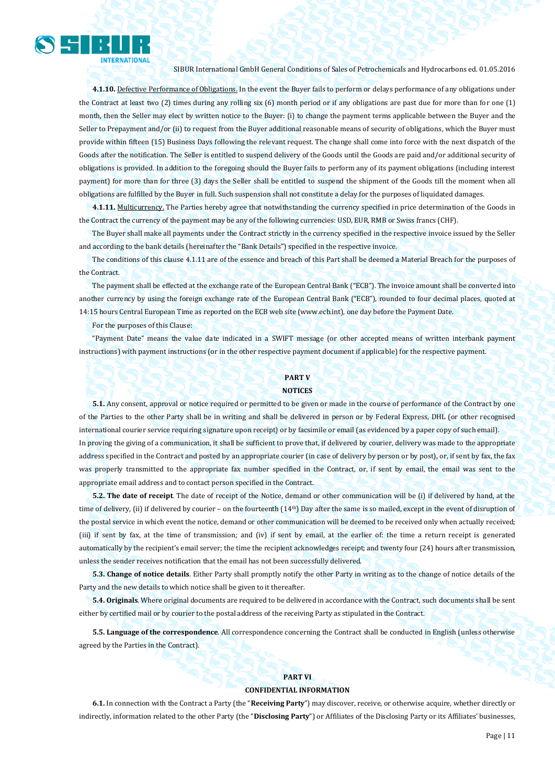

**4.1.10.** Defective Performance of Obligations. In the event the Buyer fails to perform or delays performance of any obligations under the Contract at least two (2) times during any rolling six (6) month period or if any obligations are past due for more than for one (1) month, then the Seller may elect by written notice to the Buyer: (i) to change the payment terms applicable between the Buyer and the Seller to Prepayment and/or (ii) to request from the Buyer additional reasonable means of security of obligations, which the Buyer must provide within fifteen (15) Business Days following the relevant request. The change shall come into force with the next dispatch of the Goods after the notification. The Seller is entitled to suspend delivery of the Goods until the Goods are paid and/or additional security of obligations is provided. In addition to the foregoing should the Buyer fails to perform any of its payment obligations (including interest payment) for more than for three (3) days the Seller shall be entitled to suspend the shipment of the Goods till the moment when all obligations are fulfilled by the Buyer in full. Such suspension shall not constitute a delay for the purposes of liquidated damages.

**4.1.11.** Multicurrency. The Parties hereby agree that notwithstanding the currency specified in price determination of the Goods in the Contract the currency of the payment may be any of the following currencies: USD, EUR, RMB or Swiss francs (CHF).

The Buyer shall make all payments under the Contract strictly in the currency specified in the respective invoice issued by the Seller and according to the bank details (hereinafter the "Bank Details") specified in the respective invoice.

The conditions of this clause 4.1.11 are of the essence and breach of this Part shall be deemed a Material Breach for the purposes of the Contract.

The payment shall be effected at the exchange rate of the European Central Bank ("ECB"). The invoice amount shall be converted into another currency by using the foreign exchange rate of the European Central Bank ("ECB"), rounded to four decimal places, quoted at 14:15 hours Central European Time as reported on the ECB web site (www.ecb.int), one day before the Payment Date.

For the purposes of this Clause:

"Payment Date" means the value date indicated in a SWIFT message (or other accepted means of written interbank payment instructions) with payment instructions (or in the other respective payment document if applicable) for the respective payment.

## **PART V NOTICES**

**5.1.** Any consent, approval or notice required or permitted to be given or made in the course of performance of the Contract by one of the Parties to the other Party shall be in writing and shall be delivered in person or by Federal Express, DHL (or other recognised international courier service requiring signature upon receipt) or by facsimile or email (as evidenced by a paper copy of such email). In proving the giving of a communication, it shall be sufficient to prove that, if delivered by courier, delivery was made to the appropriate address specified in the Contract and posted by an appropriate courier (in case of delivery by person or by post), or, if sent by fax, the fax was properly transmitted to the appropriate fax number specified in the Contract, or, if sent by email, the email was sent to the appropriate email address and to contact person specified in the Contract.

**5.2. The date of receipt**. The date of receipt of the Notice, demand or other communication will be (i) if delivered by hand, at the time of delivery, (ii) if delivered by courier – on the fourteenth (14<sup>th</sup>) Day after the same is so mailed, except in the event of disruption of the postal service in which event the notice, demand or other communication will be deemed to be received only when actually received; (iii) if sent by fax, at the time of transmission; and (iv) if sent by email, at the earlier of: the time a return receipt is generated automatically by the recipient's email server; the time the recipient acknowledges receipt; and twenty four (24) hours after transmission, unless the sender receives notification that the email has not been successfully delivered.

**5.3. Change of notice details**. Either Party shall promptly notify the other Party in writing as to the change of notice details of the Party and the new details to which notice shall be given to it thereafter.

**5.4. Originals**. Where original documents are required to be delivered in accordance with the Contract, such documents shall be sent either by certified mail or by courier to the postal address of the receiving Party as stipulated in the Contract.

**5.5. Language of the correspondence**. All correspondence concerning the Contract shall be conducted in English (unless otherwise agreed by the Parties in the Contract).

## **PART VI**

### **CONFIDENTIAL INFORMATION**

**6.1.** In connection with the Contract a Party (the "**Receiving Party**") may discover, receive, or otherwise acquire, whether directly or indirectly, information related to the other Party (the "**Disclosing Party**") or Affiliates of the Disclosing Party or its Affiliates' businesses,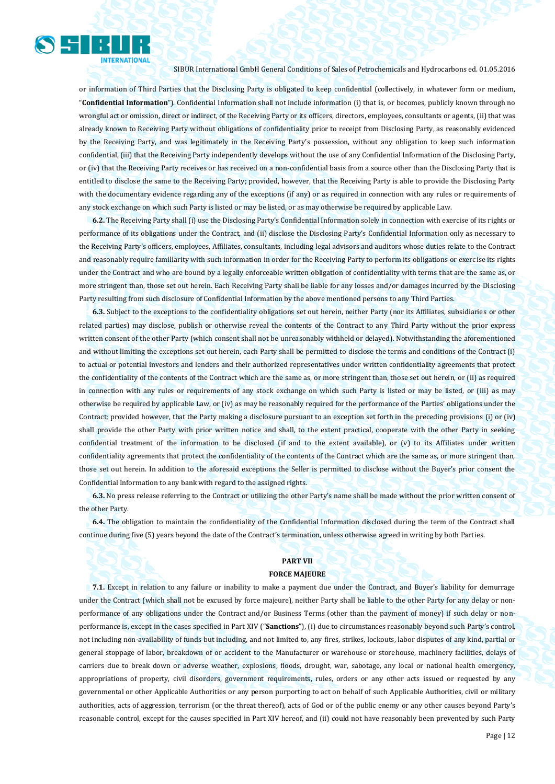

or information of Third Parties that the Disclosing Party is obligated to keep confidential (collectively, in whatever form or medium, "**Confidential Information**"). Confidential Information shall not include information (i) that is, or becomes, publicly known through no wrongful act or omission, direct or indirect, of the Receiving Party or its officers, directors, employees, consultants or agents, (ii) that was already known to Receiving Party without obligations of confidentiality prior to receipt from Disclosing Party, as reasonably evidenced by the Receiving Party, and was legitimately in the Receiving Party's possession, without any obligation to keep such information confidential, (iii) that the Receiving Party independently develops without the use of any Confidential Information of the Disclosing Party, or (iv) that the Receiving Party receives or has received on a non-confidential basis from a source other than the Disclosing Party that is entitled to disclose the same to the Receiving Party; provided, however, that the Receiving Party is able to provide the Disclosing Party with the documentary evidence regarding any of the exceptions (if any) or as required in connection with any rules or requirements of any stock exchange on which such Party is listed or may be listed, or as may otherwise be required by applicable Law.

**6.2.** The Receiving Party shall (i) use the Disclosing Party's Confidential Information solely in connection with exercise of its rights or performance of its obligations under the Contract, and (ii) disclose the Disclosing Party's Confidential Information only as necessary to the Receiving Party's officers, employees, Affiliates, consultants, including legal advisors and auditors whose duties relate to the Contract and reasonably require familiarity with such information in order for the Receiving Party to perform its obligations or exercise its rights under the Contract and who are bound by a legally enforceable written obligation of confidentiality with terms that are the same as, or more stringent than, those set out herein. Each Receiving Party shall be liable for any losses and/or damages incurred by the Disclosing Party resulting from such disclosure of Confidential Information by the above mentioned persons to any Third Parties.

**6.3.** Subject to the exceptions to the confidentiality obligations set out herein, neither Party (nor its Affiliates, subsidiaries or other related parties) may disclose, publish or otherwise reveal the contents of the Contract to any Third Party without the prior express written consent of the other Party (which consent shall not be unreasonably withheld or delayed). Notwithstanding the aforementioned and without limiting the exceptions set out herein, each Party shall be permitted to disclose the terms and conditions of the Contract (i) to actual or potential investors and lenders and their authorized representatives under written confidentiality agreements that protect the confidentiality of the contents of the Contract which are the same as, or more stringent than, those set out herein, or (ii) as required in connection with any rules or requirements of any stock exchange on which such Party is listed or may be listed, or (iii) as may otherwise be required by applicable Law, or (iv) as may be reasonably required for the performance of the Parties' obligations under the Contract; provided however, that the Party making a disclosure pursuant to an exception set forth in the preceding provisions (i) or (iv) shall provide the other Party with prior written notice and shall, to the extent practical, cooperate with the other Party in seeking confidential treatment of the information to be disclosed (if and to the extent available), or (v) to its Affiliates under written confidentiality agreements that protect the confidentiality of the contents of the Contract which are the same as, or more stringent than, those set out herein. In addition to the aforesaid exceptions the Seller is permitted to disclose without the Buyer's prior consent the Confidential Information to any bank with regard to the assigned rights.

**6.3.** No press release referring to the Contract or utilizing the other Party's name shall be made without the prior written consent of the other Party.

**6.4.** The obligation to maintain the confidentiality of the Confidential Information disclosed during the term of the Contract shall continue during five (5) years beyond the date of the Contract's termination, unless otherwise agreed in writing by both Parties.

## **PART VII**

## **FORCE MAJEURE**

**7.1.** Except in relation to any failure or inability to make a payment due under the Contract, and Buyer's liability for demurrage under the Contract (which shall not be excused by force majeure), neither Party shall be liable to the other Party for any delay or nonperformance of any obligations under the Contract and/or Business Terms (other than the payment of money) if such delay or nonperformance is, except in the cases specified in Part XIV ("**Sanctions**"), (i) due to circumstances reasonably beyond such Party's control, not including non-availability of funds but including, and not limited to, any fires, strikes, lockouts, labor disputes of any kind, partial or general stoppage of labor, breakdown of or accident to the Manufacturer or warehouse or storehouse, machinery facilities, delays of carriers due to break down or adverse weather, explosions, floods, drought, war, sabotage, any local or national health emergency, appropriations of property, civil disorders, government requirements, rules, orders or any other acts issued or requested by any governmental or other Applicable Authorities or any person purporting to act on behalf of such Applicable Authorities, civil or military authorities, acts of aggression, terrorism (or the threat thereof), acts of God or of the public enemy or any other causes beyond Party's reasonable control, except for the causes specified in Part XIV hereof, and (ii) could not have reasonably been prevented by such Party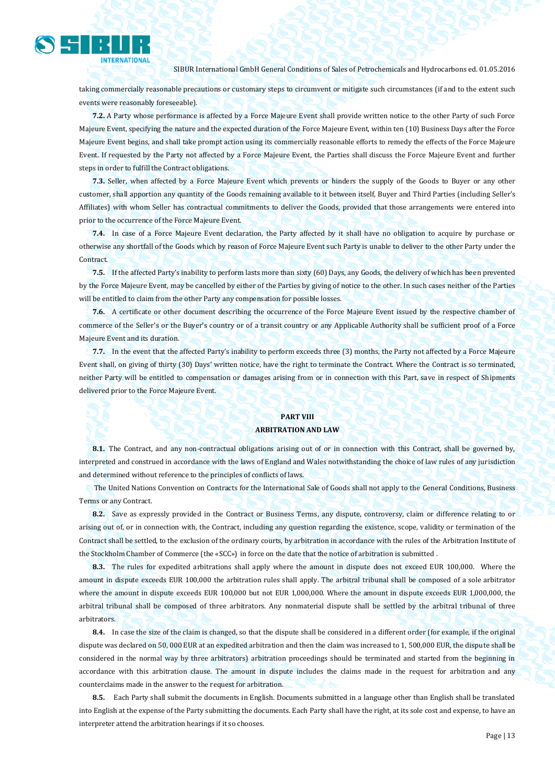

taking commercially reasonable precautions or customary steps to circumvent or mitigate such circumstances (if and to the extent such events were reasonably foreseeable).

**7.2.** A Party whose performance is affected by a Force Majeure Event shall provide written notice to the other Party of such Force Majeure Event, specifying the nature and the expected duration of the Force Majeure Event, within ten (10) Business Days after the Force Majeure Event begins, and shall take prompt action using its commercially reasonable efforts to remedy the effects of the Force Majeure Event. If requested by the Party not affected by a Force Majeure Event, the Parties shall discuss the Force Majeure Event and further steps in order to fulfill the Contract obligations.

**7.3.** Seller, when affected by a Force Majeure Event which prevents or hinders the supply of the Goods to Buyer or any other customer, shall apportion any quantity of the Goods remaining available to it between itself, Buyer and Third Parties (including Seller's Affiliates) with whom Seller has contractual commitments to deliver the Goods, provided that those arrangements were entered into prior to the occurrence of the Force Majeure Event.

**7.4.** In case of a Force Majeure Event declaration, the Party affected by it shall have no obligation to acquire by purchase or otherwise any shortfall of the Goods which by reason of Force Majeure Event such Party is unable to deliver to the other Party under the Contract.

**7.5.** If the affected Party's inability to perform lasts more than sixty (60) Days, any Goods, the delivery of which has been prevented by the Force Majeure Event, may be cancelled by either of the Parties by giving of notice to the other. In such cases neither of the Parties will be entitled to claim from the other Party any compensation for possible losses.

**7.6.** A certificate or other document describing the occurrence of the Force Majeure Event issued by the respective chamber of commerce of the Seller's or the Buyer's country or of a transit country or any Applicable Authority shall be sufficient proof of a Force Majeure Event and its duration.

**7.7.** In the event that the affected Party's inability to perform exceeds three (3) months, the Party not affected by a Force Majeure Event shall, on giving of thirty (30) Days' written notice, have the right to terminate the Contract. Where the Contract is so terminated, neither Party will be entitled to compensation or damages arising from or in connection with this Part, save in respect of Shipments delivered prior to the Force Majeure Event.

## **PART VIII ARBITRATION AND LAW**

**8.1.** The Contract, and any non-contractual obligations arising out of or in connection with this Contract, shall be governed by, interpreted and construed in accordance with the laws of England and Wales notwithstanding the choice of law rules of any jurisdiction and determined without reference to the principles of conflicts of laws.

The United Nations Convention on Contracts for the International Sale of Goods shall not apply to the General Conditions, Business Terms or any Contract.

**8.2.** Save as expressly provided in the Contract or Business Terms, any dispute, controversy, claim or difference relating to or arising out of, or in connection with, the Contract, including any question regarding the existence, scope, validity or termination of the Contract shall be settled, to the exclusion of the ordinary courts, by arbitration in accordance with the rules of the Arbitration Institute of the Stockholm Chamber of Commerce (the «SCC») in force on the date that the notice of arbitration is submitted .

**8.3.** The rules for expedited arbitrations shall apply where the amount in dispute does not exceed EUR 100,000. Where the amount in dispute exceeds EUR 100,000 the arbitration rules shall apply. The arbitral tribunal shall be composed of a sole arbitrator where the amount in dispute exceeds EUR 100,000 but not EUR 1,000,000. Where the amount in dispute exceeds EUR 1,000,000, the arbitral tribunal shall be composed of three arbitrators. Any nonmaterial dispute shall be settled by the arbitral tribunal of three arbitrators.

**8.4.** In case the size of the claim is changed, so that the dispute shall be considered in a different order (for example, if the original dispute was declared on 50, 000 EUR at an expedited arbitration and then the claim was increased to 1, 500,000 EUR, the dispute shall be considered in the normal way by three arbitrators) arbitration proceedings should be terminated and started from the beginning in accordance with this arbitration clause. The amount in dispute includes the claims made in the request for arbitration and any counterclaims made in the answer to the request for arbitration.

**8.5.** Each Party shall submit the documents in English. Documents submitted in a language other than English shall be translated into English at the expense of the Party submitting the documents. Each Party shall have the right, at its sole cost and expense, to have an interpreter attend the arbitration hearings if it so chooses.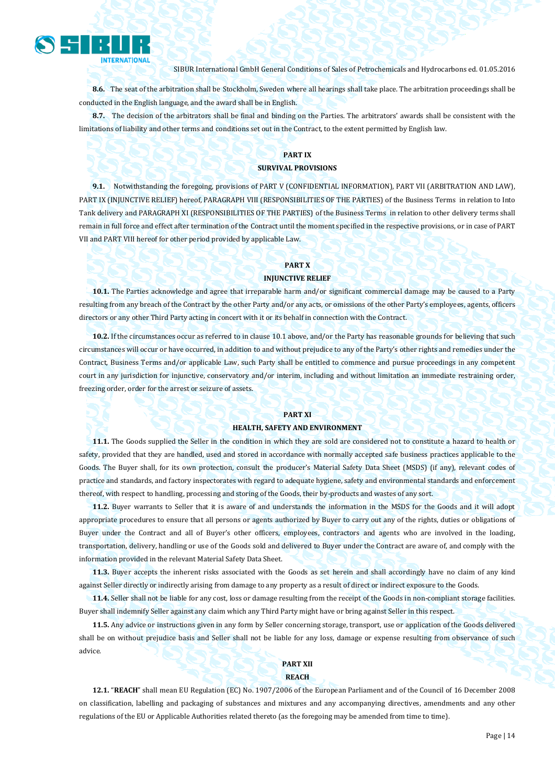

**8.6.** The seat of the arbitration shall be Stockholm, Sweden where all hearings shall take place. The arbitration proceedings shall be conducted in the English language, and the award shall be in English.

**8.7.** The decision of the arbitrators shall be final and binding on the Parties. The arbitrators' awards shall be consistent with the limitations of liability and other terms and conditions set out in the Contract, to the extent permitted by English law.

## **PART IX SURVIVAL PROVISIONS**

**9.1.** Notwithstanding the foregoing, provisions of PART V (CONFIDENTIAL INFORMATION), PART VII (ARBITRATION AND LAW), PART IX (INJUNCTIVE RELIEF) hereof, PARAGRAPH VIII (RESPONSIBILITIES OF THE PARTIES) of the Business Terms in relation to Into Tank delivery and PARAGRAPH XI (RESPONSIBILITIES OF THE PARTIES) of the Business Terms in relation to other delivery terms shall remain in full force and effect after termination of the Contract until the moment specified in the respective provisions, or in case of PART VII and PART VIII hereof for other period provided by applicable Law.

## **PART X**

## **INJUNCTIVE RELIEF**

**10.1.** The Parties acknowledge and agree that irreparable harm and/or significant commercial damage may be caused to a Party resulting from any breach of the Contract by the other Party and/or any acts, or omissions of the other Party's employees, agents, officers directors or any other Third Party acting in concert with it or its behalf in connection with the Contract.

**10.2.** If the circumstances occur as referred to in clause 10.1 above, and/or the Party has reasonable grounds for believing that such circumstances will occur or have occurred, in addition to and without prejudice to any of the Party's other rights and remedies under the Contract, Business Terms and/or applicable Law, such Party shall be entitled to commence and pursue proceedings in any competent court in any jurisdiction for injunctive, conservatory and/or interim, including and without limitation an immediate restraining order, freezing order, order for the arrest or seizure of assets.

#### **PART XI**

#### **HEALTH, SAFETY AND ENVIRONMENT**

**11.1.** The Goods supplied the Seller in the condition in which they are sold are considered not to constitute a hazard to health or safety, provided that they are handled, used and stored in accordance with normally accepted safe business practices applicable to the Goods. The Buyer shall, for its own protection, consult the producer's Material Safety Data Sheet (MSDS) (if any), relevant codes of practice and standards, and factory inspectorates with regard to adequate hygiene, safety and environmental standards and enforcement thereof, with respect to handling, processing and storing of the Goods, their by-products and wastes of any sort.

**11.2.** Buyer warrants to Seller that it is aware of and understands the information in the MSDS for the Goods and it will adopt appropriate procedures to ensure that all persons or agents authorized by Buyer to carry out any of the rights, duties or obligations of Buyer under the Contract and all of Buyer's other officers, employees, contractors and agents who are involved in the loading, transportation, delivery, handling or use of the Goods sold and delivered to Buyer under the Contract are aware of, and comply with the information provided in the relevant Material Safety Data Sheet.

**11.3.** Buyer accepts the inherent risks associated with the Goods as set herein and shall accordingly have no claim of any kind against Seller directly or indirectly arising from damage to any property as a result of direct or indirect exposure to the Goods.

**11.4.** Seller shall not be liable for any cost, loss or damage resulting from the receipt of the Goods in non-compliant storage facilities. Buyer shall indemnify Seller against any claim which any Third Party might have or bring against Seller in this respect.

**11.5.** Any advice or instructions given in any form by Seller concerning storage, transport, use or application of the Goods delivered shall be on without prejudice basis and Seller shall not be liable for any loss, damage or expense resulting from observance of such advice.

## **PART XII**

## **REACH**

**12.1.** "**REACH**" shall mean EU Regulation (EC) No. 1907/2006 of the European Parliament and of the Council of 16 December 2008 on classification, labelling and packaging of substances and mixtures and any accompanying directives, amendments and any other regulations of the EU or Applicable Authorities related thereto (as the foregoing may be amended from time to time).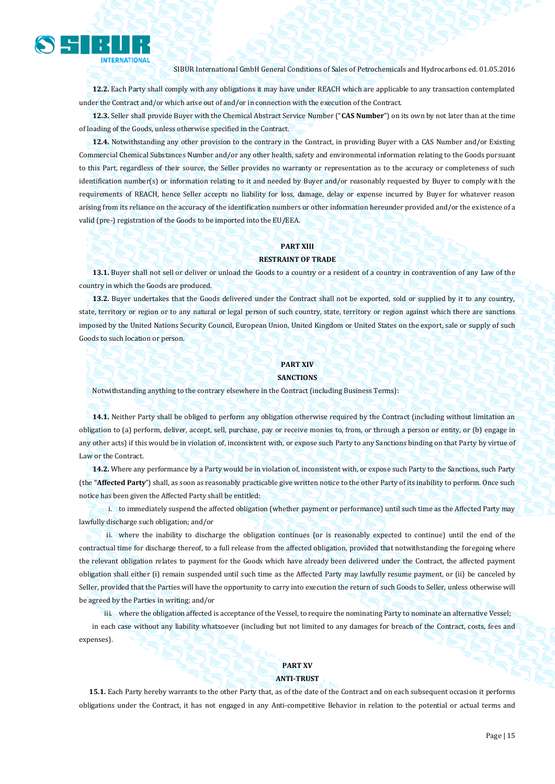

**12.2.** Each Party shall comply with any obligations it may have under REACH which are applicable to any transaction contemplated under the Contract and/or which arise out of and/or in connection with the execution of the Contract.

**12.3.** Seller shall provide Buyer with the Chemical Abstract Service Number ("**CAS Number**") on its own by not later than at the time of loading of the Goods, unless otherwise specified in the Contract.

**12.4.** Notwithstanding any other provision to the contrary in the Contract, in providing Buyer with a CAS Number and/or Existing Commercial Chemical Substances Number and/or any other health, safety and environmental information relating to the Goods pursuant to this Part, regardless of their source, the Seller provides no warranty or representation as to the accuracy or completeness of such identification number(s) or information relating to it and needed by Buyer and/or reasonably requested by Buyer to comply with the requirements of REACH, hence Seller accepts no liability for loss, damage, delay or expense incurred by Buyer for whatever reason arising from its reliance on the accuracy of the identification numbers or other information hereunder provided and/or the existence of a valid (pre-) registration of the Goods to be imported into the EU/EEA.

## **PART XIII**

### **RESTRAINT OF TRADE**

**13.1.** Buyer shall not sell or deliver or unload the Goods to a country or a resident of a country in contravention of any Law of the country in which the Goods are produced.

**13.2.** Buyer undertakes that the Goods delivered under the Contract shall not be exported, sold or supplied by it to any country, state, territory or region or to any natural or legal person of such country, state, territory or region against which there are sanctions imposed by the United Nations Security Council, European Union, United Kingdom or United States on the export, sale or supply of such Goods to such location or person.

## **PART XIV**

#### **SANCTIONS**

Notwithstanding anything to the contrary elsewhere in the Contract (including Business Terms):

**14.1.** Neither Party shall be obliged to perform any obligation otherwise required by the Contract (including without limitation an obligation to (a) perform, deliver, accept, sell, purchase, pay or receive monies to, from, or through a person or entity, or (b) engage in any other acts) if this would be in violation of, inconsistent with, or expose such Party to any Sanctions binding on that Party by virtue of Law or the Contract.

**14.2.** Where any performance by a Party would be in violation of, inconsistent with, or expose such Party to the Sanctions, such Party (the "**Affected Party**") shall, as soon as reasonably practicable give written notice to the other Party of its inability to perform. Once such notice has been given the Affected Party shall be entitled:

i. to immediately suspend the affected obligation (whether payment or performance) until such time as the Affected Party may lawfully discharge such obligation; and/or

ii. where the inability to discharge the obligation continues (or is reasonably expected to continue) until the end of the contractual time for discharge thereof, to a full release from the affected obligation, provided that notwithstanding the foregoing where the relevant obligation relates to payment for the Goods which have already been delivered under the Contract, the affected payment obligation shall either (i) remain suspended until such time as the Affected Party may lawfully resume payment, or (ii) be canceled by Seller, provided that the Parties will have the opportunity to carry into execution the return of such Goods to Seller, unless otherwise will be agreed by the Parties in writing; and/or

iii. where the obligation affected is acceptance of the Vessel, to require the nominating Party to nominate an alternative Vessel; in each case without any liability whatsoever (including but not limited to any damages for breach of the Contract, costs, fees and expenses).

## **PART XV**

## **ANTI-TRUST**

**15.1.** Each Party hereby warrants to the other Party that, as of the date of the Contract and on each subsequent occasion it performs obligations under the Contract, it has not engaged in any Anti-competitive Behavior in relation to the potential or actual terms and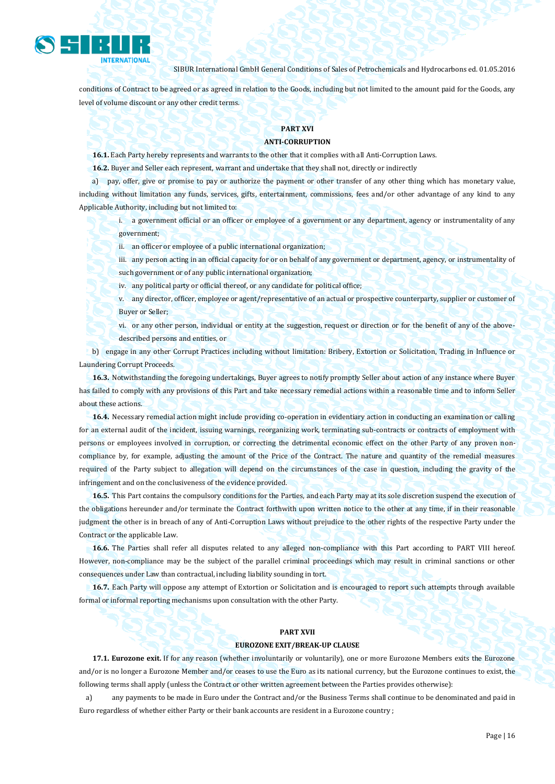

conditions of Contract to be agreed or as agreed in relation to the Goods, including but not limited to the amount paid for the Goods, any level of volume discount or any other credit terms.

## **PART XVI**

## **ANTI-CORRUPTION**

**16.1.** Each Party hereby represents and warrants to the other that it complies with all Anti-Corruption Laws.

**16.2.** Buyer and Seller each represent, warrant and undertake that they shall not, directly or indirectly

a) pay, offer, give or promise to pay or authorize the payment or other transfer of any other thing which has monetary value, including without limitation any funds, services, gifts, entertainment, commissions, fees and/or other advantage of any kind to any Applicable Authority, including but not limited to:

i. a government official or an officer or employee of a government or any department, agency or instrumentality of any government;

ii. an officer or employee of a public international organization;

iii. any person acting in an official capacity for or on behalf of any government or department, agency, or instrumentality of such government or of any public international organization;

iv. any political party or official thereof, or any candidate for political office;

v. any director, officer, employee or agent/representative of an actual or prospective counterparty, supplier or customer of Buyer or Seller;

vi. or any other person, individual or entity at the suggestion, request or direction or for the benefit of any of the abovedescribed persons and entities, or

b) engage in any other Corrupt Practices including without limitation: Bribery, Extortion or Solicitation, Trading in Influence or Laundering Corrupt Proceeds.

**16.3.** Notwithstanding the foregoing undertakings, Buyer agrees to notify promptly Seller about action of any instance where Buyer has failed to comply with any provisions of this Part and take necessary remedial actions within a reasonable time and to inform Seller about these actions.

**16.4.** Necessary remedial action might include providing co-operation in evidentiary action in conducting an examination or calling for an external audit of the incident, issuing warnings, reorganizing work, terminating sub-contracts or contracts of employment with persons or employees involved in corruption, or correcting the detrimental economic effect on the other Party of any proven noncompliance by, for example, adjusting the amount of the Price of the Contract. The nature and quantity of the remedial measures required of the Party subject to allegation will depend on the circumstances of the case in question, including the gravity of the infringement and on the conclusiveness of the evidence provided.

**16.5.** This Part contains the compulsory conditions for the Parties, and each Party may at its sole discretion suspend the execution of the obligations hereunder and/or terminate the Contract forthwith upon written notice to the other at any time, if in their reasonable judgment the other is in breach of any of Anti-Corruption Laws without prejudice to the other rights of the respective Party under the Contract or the applicable Law.

**16.6.** The Parties shall refer all disputes related to any alleged non-compliance with this Part according to PART VIII hereof. However, non-compliance may be the subject of the parallel criminal proceedings which may result in criminal sanctions or other consequences under Law than contractual, including liability sounding in tort.

**16.7.** Each Party will oppose any attempt of Extortion or Solicitation and is encouraged to report such attempts through available formal or informal reporting mechanisms upon consultation with the other Party.

#### **PART XVII**

#### **EUROZONE EXIT/BREAK-UP CLAUSE**

**17.1. Eurozone exit.** If for any reason (whether involuntarily or voluntarily), one or more Eurozone Members exits the Eurozone and/or is no longer a Eurozone Member and/or ceases to use the Euro as its national currency, but the Eurozone continues to exist, the following terms shall apply (unless the Contract or other written agreement between the Parties provides otherwise):

a) any payments to be made in Euro under the Contract and/or the Business Terms shall continue to be denominated and paid in Euro regardless of whether either Party or their bank accounts are resident in a Eurozone country ;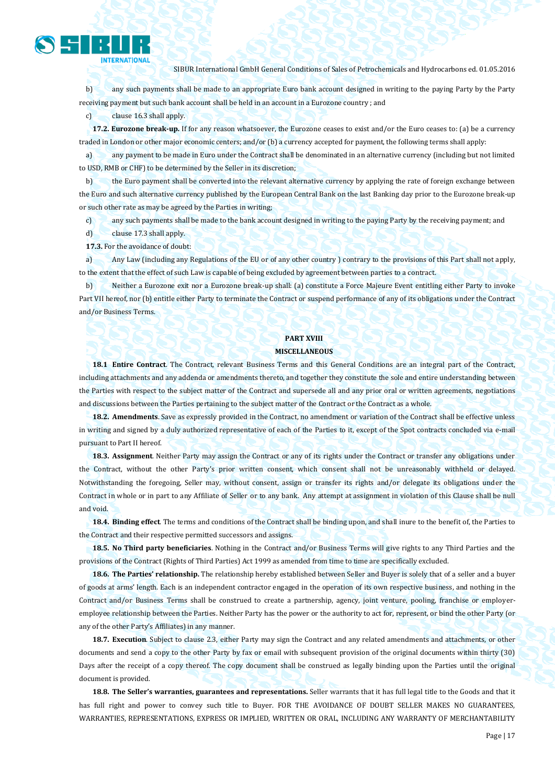b) any such payments shall be made to an appropriate Euro bank account designed in writing to the paying Party by the Party receiving payment but such bank account shall be held in an account in a Eurozone country ; and

c) clause 16.3 shall apply.

**INTERNATIONAL** 

**17.2. Eurozone break-up.** If for any reason whatsoever, the Eurozone ceases to exist and/or the Euro ceases to: (a) be a currency traded in London or other major economic centers; and/or (b) a currency accepted for payment, the following terms shall apply:

a) any payment to be made in Euro under the Contract shall be denominated in an alternative currency (including but not limited to USD, RMB or CHF) to be determined by the Seller in its discretion;

b) the Euro payment shall be converted into the relevant alternative currency by applying the rate of foreign exchange between the Euro and such alternative currency published by the European Central Bank on the last Banking day prior to the Eurozone break-up or such other rate as may be agreed by the Parties in writing;

c) any such payments shall be made to the bank account designed in writing to the paying Party by the receiving payment; and

d) clause 17.3 shall apply.

**17.3.** For the avoidance of doubt:

a) Any Law (including any Regulations of the EU or of any other country ) contrary to the provisions of this Part shall not apply, to the extent that the effect of such Law is capable of being excluded by agreement between parties to a contract.

b) Neither a Eurozone exit nor a Eurozone break-up shall: (a) constitute a Force Majeure Event entitling either Party to invoke Part VII hereof, nor (b) entitle either Party to terminate the Contract or suspend performance of any of its obligations under the Contract and/or Business Terms.

## **PART XVIII MISCELLANEOUS**

**18.1 Entire Contract**. The Contract, relevant Business Terms and this General Conditions are an integral part of the Contract, including attachments and any addenda or amendments thereto, and together they constitute the sole and entire understanding between the Parties with respect to the subject matter of the Contract and supersede all and any prior oral or written agreements, negotiations and discussions between the Parties pertaining to the subject matter of the Contract or the Contract as a whole.

**18.2. Amendments**. Save as expressly provided in the Contract, no amendment or variation of the Contract shall be effective unless in writing and signed by a duly authorized representative of each of the Parties to it, except of the Spot contracts concluded via e-mail pursuant to Part II hereof.

**18.3. Assignment**. Neither Party may assign the Contract or any of its rights under the Contract or transfer any obligations under the Contract, without the other Party's prior written consent, which consent shall not be unreasonably withheld or delayed. Notwithstanding the foregoing, Seller may, without consent, assign or transfer its rights and/or delegate its obligations under the Contract in whole or in part to any Affiliate of Seller or to any bank. Any attempt at assignment in violation of this Clause shall be null and void.

**18.4. Binding effect**. The terms and conditions of the Contract shall be binding upon, and shall inure to the benefit of, the Parties to the Contract and their respective permitted successors and assigns.

**18.5. No Third party beneficiaries**. Nothing in the Contract and/or Business Terms will give rights to any Third Parties and the provisions of the Contract (Rights of Third Parties) Act 1999 as amended from time to time are specifically excluded.

**18.6. The Parties' relationship.** The relationship hereby established between Seller and Buyer is solely that of a seller and a buyer of goods at arms' length. Each is an independent contractor engaged in the operation of its own respective business, and nothing in the Contract and/or Business Terms shall be construed to create a partnership, agency, joint venture, pooling, franchise or employeremployee relationship between the Parties. Neither Party has the power or the authority to act for, represent, or bind the other Party (or any of the other Party's Affiliates) in any manner.

**18.7. Execution**. Subject to clause 2.3, either Party may sign the Contract and any related amendments and attachments, or other documents and send a copy to the other Party by fax or email with subsequent provision of the original documents within thirty (30) Days after the receipt of a copy thereof. The copy document shall be construed as legally binding upon the Parties until the original document is provided.

**18.8. The Seller's warranties, guarantees and representations.** Seller warrants that it has full legal title to the Goods and that it has full right and power to convey such title to Buyer. FOR THE AVOIDANCE OF DOUBT SELLER MAKES NO GUARANTEES, WARRANTIES, REPRESENTATIONS, EXPRESS OR IMPLIED, WRITTEN OR ORAL, INCLUDING ANY WARRANTY OF MERCHANTABILITY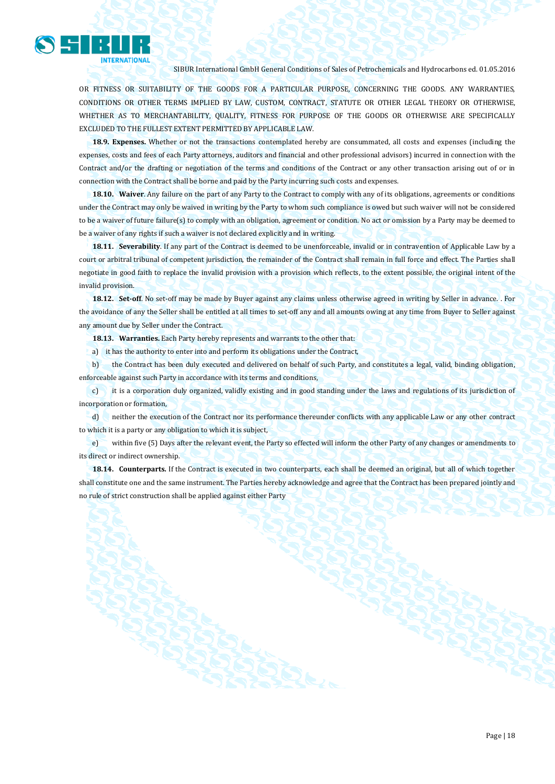

OR FITNESS OR SUITABILITY OF THE GOODS FOR A PARTICULAR PURPOSE, CONCERNING THE GOODS. ANY WARRANTIES, CONDITIONS OR OTHER TERMS IMPLIED BY LAW, CUSTOM, CONTRACT, STATUTE OR OTHER LEGAL THEORY OR OTHERWISE, WHETHER AS TO MERCHANTABILITY, QUALITY, FITNESS FOR PURPOSE OF THE GOODS OR OTHERWISE ARE SPECIFICALLY EXCLUDED TO THE FULLEST EXTENT PERMITTED BY APPLICABLE LAW.

**18.9. Expenses.** Whether or not the transactions contemplated hereby are consummated, all costs and expenses (including the expenses, costs and fees of each Party attorneys, auditors and financial and other professional advisors) incurred in connection with the Contract and/or the drafting or negotiation of the terms and conditions of the Contract or any other transaction arising out of or in connection with the Contract shall be borne and paid by the Party incurring such costs and expenses.

**18.10. Waiver**. Any failure on the part of any Party to the Contract to comply with any of its obligations, agreements or conditions under the Contract may only be waived in writing by the Party to whom such compliance is owed but such waiver will not be considered to be a waiver of future failure(s) to comply with an obligation, agreement or condition. No act or omission by a Party may be deemed to be a waiver of any rights if such a waiver is not declared explicitly and in writing.

**18.11. Severability**. If any part of the Contract is deemed to be unenforceable, invalid or in contravention of Applicable Law by a court or arbitral tribunal of competent jurisdiction, the remainder of the Contract shall remain in full force and effect. The Parties shall negotiate in good faith to replace the invalid provision with a provision which reflects, to the extent possible, the original intent of the invalid provision.

**18.12. Set-off**. No set-off may be made by Buyer against any claims unless otherwise agreed in writing by Seller in advance. . For the avoidance of any the Seller shall be entitled at all times to set-off any and all amounts owing at any time from Buyer to Seller against any amount due by Seller under the Contract.

**18.13. Warranties.** Each Party hereby represents and warrants to the other that:

a) it has the authority to enter into and perform its obligations under the Contract,

b) the Contract has been duly executed and delivered on behalf of such Party, and constitutes a legal, valid, binding obligation, enforceable against such Party in accordance with its terms and conditions,

c) it is a corporation duly organized, validly existing and in good standing under the laws and regulations of its jurisdiction of incorporation or formation,

d) neither the execution of the Contract nor its performance thereunder conflicts with any applicable Law or any other contract to which it is a party or any obligation to which it is subject,

e) within five (5) Days after the relevant event, the Party so effected will inform the other Party of any changes or amendments to its direct or indirect ownership.

**18.14. Counterparts.** If the Contract is executed in two counterparts, each shall be deemed an original, but all of which together shall constitute one and the same instrument. The Parties hereby acknowledge and agree that the Contract has been prepared jointly and no rule of strict construction shall be applied against either Party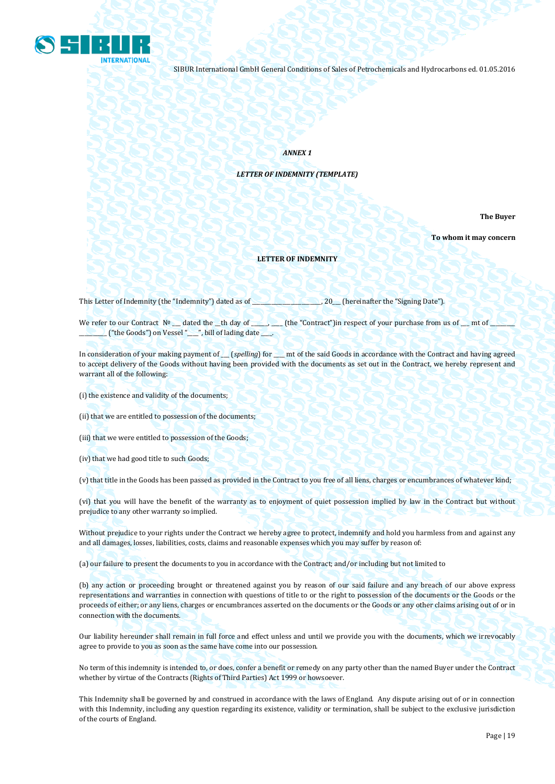

*ANNEX 1*

*LETTER OF INDEMNITY (TEMPLATE)*

**The Buyer** 

**To whom it may concern**

#### **LETTER OF INDEMNITY**

This Letter of Indemnity (the "Indemnity") dated as of \_\_\_\_\_\_\_\_\_\_\_\_\_\_\_\_\_\_\_\_\_\_\_\_\_, 20\_\_\_ (hereinafter the "Signing Date").

We refer to our Contract № \_\_ dated the \_th day of \_\_\_\_\_\_\_\_ (the "Contract")in respect of your purchase from us of \_\_ mt of \_ \_("the Goods") on Vessel "\_\_\_", bill of lading date \_\_\_.

In consideration of your making payment of \_\_\_ (*spelling*) for \_\_\_\_ mt of the said Goods in accordance with the Contract and having agreed to accept delivery of the Goods without having been provided with the documents as set out in the Contract, we hereby represent and warrant all of the following:

- (i) the existence and validity of the documents;
- (ii) that we are entitled to possession of the documents;
- (iii) that we were entitled to possession of the Goods;
- (iv) that we had good title to such Goods;

(v) that title in the Goods has been passed as provided in the Contract to you free of all liens, charges or encumbrances of whatever kind;

(vi) that you will have the benefit of the warranty as to enjoyment of quiet possession implied by law in the Contract but without prejudice to any other warranty so implied.

Without prejudice to your rights under the Contract we hereby agree to protect, indemnify and hold you harmless from and against any and all damages, losses, liabilities, costs, claims and reasonable expenses which you may suffer by reason of:

(a) our failure to present the documents to you in accordance with the Contract; and/or including but not limited to

(b) any action or proceeding brought or threatened against you by reason of our said failure and any breach of our above express representations and warranties in connection with questions of title to or the right to possession of the documents or the Goods or the proceeds of either; or any liens, charges or encumbrances asserted on the documents or the Goods or any other claims arising out of or in connection with the documents.

Our liability hereunder shall remain in full force and effect unless and until we provide you with the documents, which we irrevocably agree to provide to you as soon as the same have come into our possession.

No term of this indemnity is intended to, or does, confer a benefit or remedy on any party other than the named Buyer under the Contract whether by virtue of the Contracts (Rights of Third Parties) Act 1999 or howsoever.

This Indemnity shall be governed by and construed in accordance with the laws of England. Any dispute arising out of or in connection with this Indemnity, including any question regarding its existence, validity or termination, shall be subject to the exclusive jurisdiction of the courts of England.